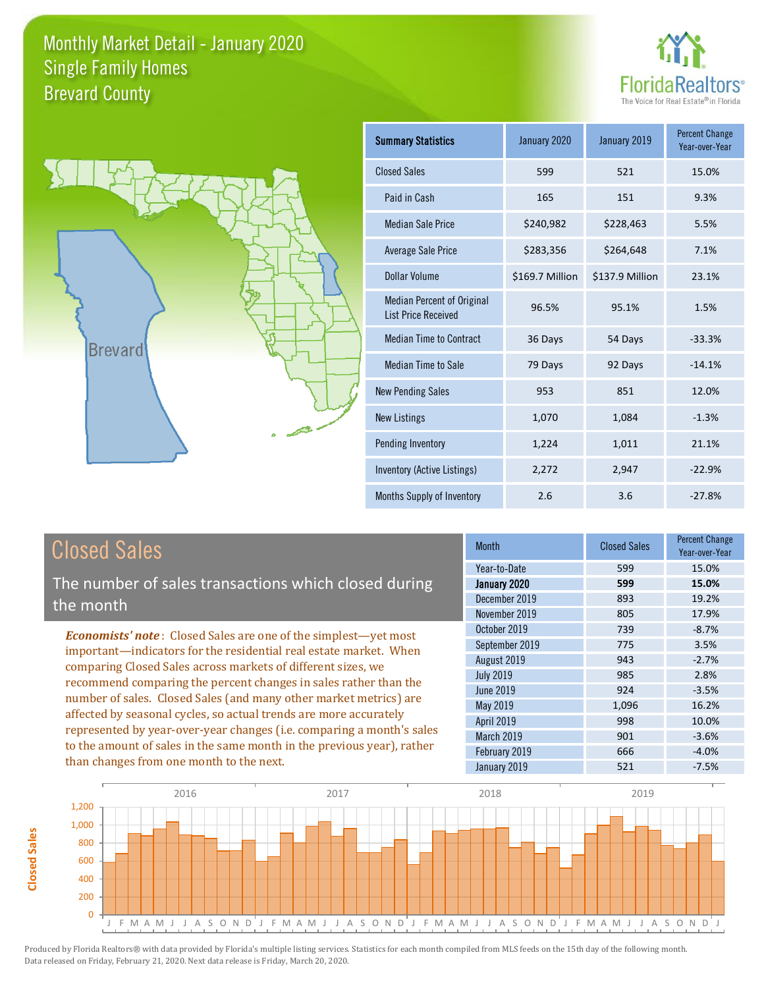



| <b>Summary Statistics</b>                                       | January 2020    | January 2019    | <b>Percent Change</b><br>Year-over-Year |
|-----------------------------------------------------------------|-----------------|-----------------|-----------------------------------------|
| <b>Closed Sales</b>                                             | 599             | 521             | 15.0%                                   |
| Paid in Cash                                                    | 165             | 151             | 9.3%                                    |
| <b>Median Sale Price</b>                                        | \$240,982       | \$228,463       | 5.5%                                    |
| <b>Average Sale Price</b>                                       | \$283,356       | \$264,648       | 7.1%                                    |
| Dollar Volume                                                   | \$169.7 Million | \$137.9 Million | 23.1%                                   |
| <b>Median Percent of Original</b><br><b>List Price Received</b> | 96.5%           | 95.1%           | 1.5%                                    |
| <b>Median Time to Contract</b>                                  | 36 Days         | 54 Days         | $-33.3%$                                |
| <b>Median Time to Sale</b>                                      | 79 Days         | 92 Days         | $-14.1%$                                |
| <b>New Pending Sales</b>                                        | 953             | 851             | 12.0%                                   |
| <b>New Listings</b>                                             | 1,070           | 1,084           | $-1.3%$                                 |
| Pending Inventory                                               | 1,224           | 1,011           | 21.1%                                   |
| Inventory (Active Listings)                                     | 2,272           | 2,947           | $-22.9%$                                |
| Months Supply of Inventory                                      | 2.6             | 3.6             | $-27.8%$                                |

The number of sales transactions which closed during the month

*Economists' note* : Closed Sales are one of the simplest—yet most important—indicators for the residential real estate market. When comparing Closed Sales across markets of different sizes, we recommend comparing the percent changes in sales rather than the number of sales. Closed Sales (and many other market metrics) are affected by seasonal cycles, so actual trends are more accurately represented by year-over-year changes (i.e. comparing a month's sales to the amount of sales in the same month in the previous year), rather than changes from one month to the next.

| <b>Month</b>     | <b>Closed Sales</b> | <b>Percent Change</b><br>Year-over-Year |
|------------------|---------------------|-----------------------------------------|
| Year-to-Date     | 599                 | 15.0%                                   |
| January 2020     | 599                 | 15.0%                                   |
| December 2019    | 893                 | 19.2%                                   |
| November 2019    | 805                 | 17.9%                                   |
| October 2019     | 739                 | $-8.7%$                                 |
| September 2019   | 775                 | 3.5%                                    |
| August 2019      | 943                 | $-2.7%$                                 |
| <b>July 2019</b> | 985                 | 2.8%                                    |
| <b>June 2019</b> | 924                 | $-3.5%$                                 |
| <b>May 2019</b>  | 1,096               | 16.2%                                   |
| April 2019       | 998                 | 10.0%                                   |
| March 2019       | 901                 | $-3.6%$                                 |
| February 2019    | 666                 | $-4.0%$                                 |
| January 2019     | 521                 | $-7.5%$                                 |

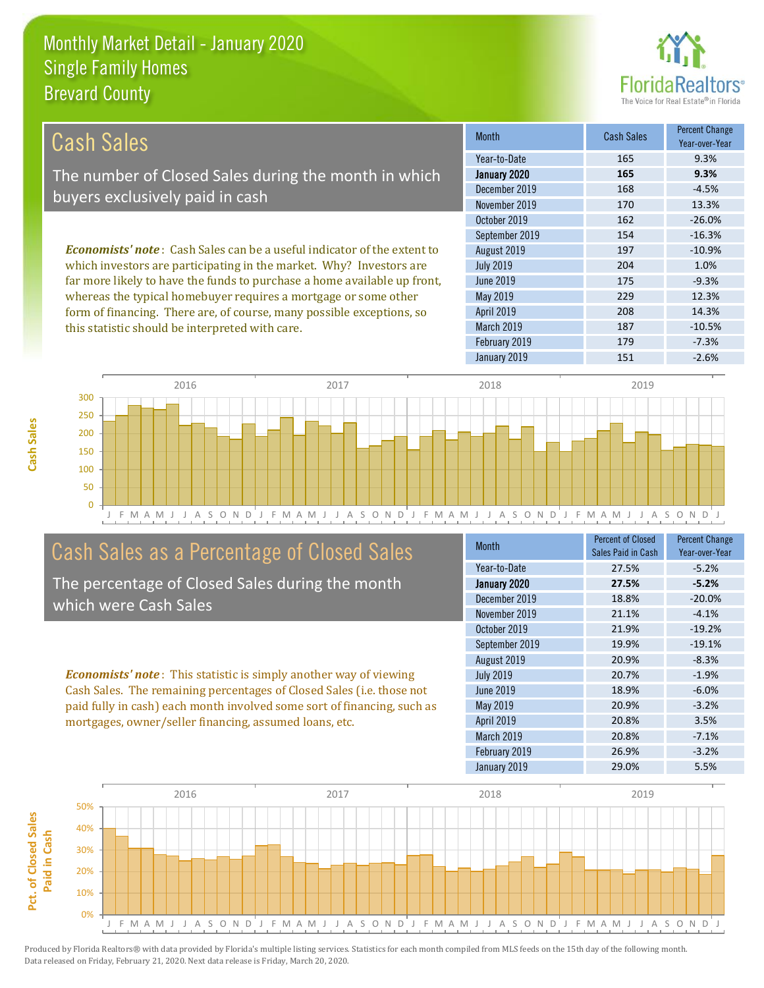this statistic should be interpreted with care.



187 -10.5%

| Cash Sales                                                                      | <b>Month</b>      | Cash Sales | <b>Percent Change</b><br>Year-over-Year |
|---------------------------------------------------------------------------------|-------------------|------------|-----------------------------------------|
|                                                                                 | Year-to-Date      | 165        | 9.3%                                    |
| The number of Closed Sales during the month in which                            | January 2020      | 165        | 9.3%                                    |
| buyers exclusively paid in cash                                                 | December 2019     | 168        | $-4.5%$                                 |
|                                                                                 | November 2019     | 170        | 13.3%                                   |
|                                                                                 | October 2019      | 162        | $-26.0%$                                |
|                                                                                 | September 2019    | 154        | $-16.3%$                                |
| <b>Economists' note</b> : Cash Sales can be a useful indicator of the extent to | August 2019       | 197        | $-10.9%$                                |
| which investors are participating in the market. Why? Investors are             | <b>July 2019</b>  | 204        | 1.0%                                    |
| far more likely to have the funds to purchase a home available up front,        | June 2019         | 175        | $-9.3%$                                 |
| whereas the typical homebuyer requires a mortgage or some other                 | May 2019          | 229        | 12.3%                                   |
| form of financing. There are, of course, many possible exceptions, so           | <b>April 2019</b> | 208        | 14.3%                                   |



# Cash Sales as a Percentage of Closed Sales

The percentage of Closed Sales during the month which were Cash Sales

*Economists' note* : This statistic is simply another way of viewing Cash Sales. The remaining percentages of Closed Sales (i.e. those not paid fully in cash) each month involved some sort of financing, such as mortgages, owner/seller financing, assumed loans, etc.

| Month            | <b>Percent of Closed</b><br>Sales Paid in Cash | <b>Percent Change</b><br>Year-over-Year |
|------------------|------------------------------------------------|-----------------------------------------|
| Year-to-Date     | 27.5%                                          | $-5.2%$                                 |
| January 2020     | 27.5%                                          | $-5.2%$                                 |
| December 2019    | 18.8%                                          | $-20.0%$                                |
| November 2019    | 21.1%                                          | $-4.1%$                                 |
| October 2019     | 21.9%                                          | $-19.2%$                                |
| September 2019   | 19.9%                                          | $-19.1%$                                |
| August 2019      | 20.9%                                          | $-8.3%$                                 |
| <b>July 2019</b> | 20.7%                                          | $-1.9%$                                 |
| <b>June 2019</b> | 18.9%                                          | $-6.0%$                                 |
| May 2019         | 20.9%                                          | $-3.2%$                                 |
| April 2019       | 20.8%                                          | 3.5%                                    |
| March 2019       | 20.8%                                          | $-7.1%$                                 |
| February 2019    | 26.9%                                          | $-3.2%$                                 |
| January 2019     | 29.0%                                          | 5.5%                                    |

February 2019 179 179 -7.3%

March 2019

January 2019 151 -2.6%



**Cash Sales**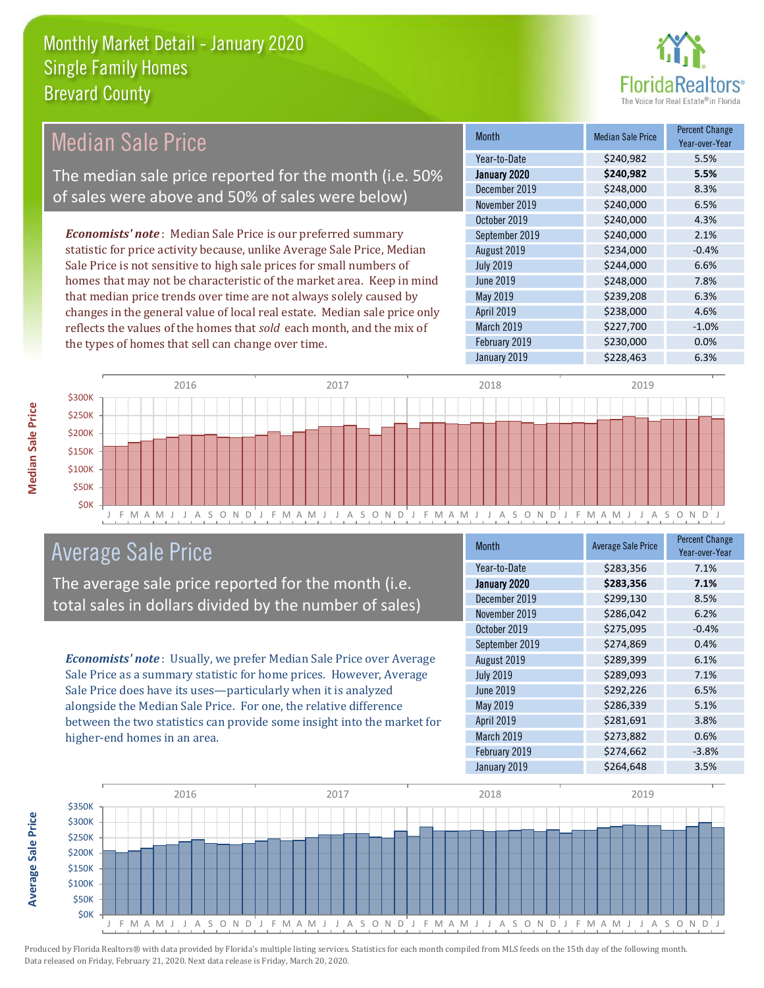

#### *Economists' note* : Median Sale Price is our preferred summary statistic for price activity because, unlike Average Sale Price, Median Sale Price is not sensitive to high sale prices for small numbers of homes that may not be characteristic of the market area. Keep in mind that median price trends over time are not always solely caused by changes in the general value of local real estate. Median sale price only reflects the values of the homes that *sold* each month, and the mix of the types of homes that sell can change over time. January 2019 **\$228,463** 6.3% March 2019 **\$227,700** -1.0% February 2019 **\$230,000 0.0%** May 2019 **6.3%** \$239,208 6.3% April 2019 **\$238,000** \$238,000 4.6% \$240,000 4.3% September 2019 **\$240,000 2.1%** June 2019 **\$248,000 7.8%** December 2019 **\$248,000** 8.3% November 2019 \$240,000 6.5% August 2019 **\$234,000** -0.4% July 2019 **\$244,000 6.6%** October 2019 Month Median Sale Price Percent Change Year-over-Year January 2020 **\$240,982 5.5%** Year-to-Date \$240,982 5.5% Median Sale Price The median sale price reported for the month (i.e. 50% of sales were above and 50% of sales were below)



## Average Sale Price

The average sale price reported for the month (i.e. total sales in dollars divided by the number of sales)

*Economists' note* : Usually, we prefer Median Sale Price over Average Sale Price as a summary statistic for home prices. However, Average Sale Price does have its uses—particularly when it is analyzed alongside the Median Sale Price. For one, the relative difference between the two statistics can provide some insight into the market for higher-end homes in an area.

| <b>Month</b>     | <b>Average Sale Price</b> | <b>Percent Change</b><br>Year-over-Year |
|------------------|---------------------------|-----------------------------------------|
| Year-to-Date     | \$283,356                 | 7.1%                                    |
| January 2020     | \$283,356                 | 7.1%                                    |
| December 2019    | \$299,130                 | 8.5%                                    |
| November 2019    | \$286,042                 | 6.2%                                    |
| October 2019     | \$275,095                 | $-0.4%$                                 |
| September 2019   | \$274,869                 | 0.4%                                    |
| August 2019      | \$289,399                 | 6.1%                                    |
| <b>July 2019</b> | \$289,093                 | 7.1%                                    |
| <b>June 2019</b> | \$292,226                 | 6.5%                                    |
| May 2019         | \$286,339                 | 5.1%                                    |
| April 2019       | \$281,691                 | 3.8%                                    |
| March 2019       | \$273,882                 | 0.6%                                    |
| February 2019    | \$274,662                 | $-3.8%$                                 |
| January 2019     | \$264,648                 | 3.5%                                    |

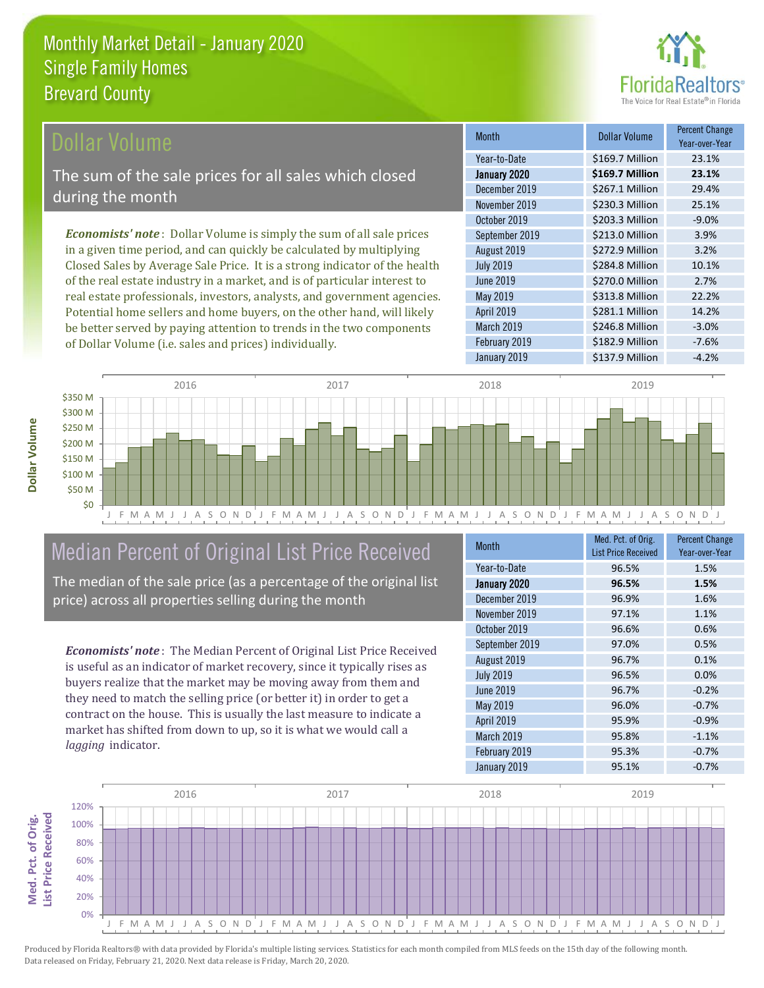

Year-over-Year

#### **Ollar Volume**

The sum of the sale prices for all sales which closed during the month

*Economists' note* : Dollar Volume is simply the sum of all sale prices in a given time period, and can quickly be calculated by multiplying Closed Sales by Average Sale Price. It is a strong indicator of the health of the real estate industry in a market, and is of particular interest to real estate professionals, investors, analysts, and government agencies. Potential home sellers and home buyers, on the other hand, will likely be better served by paying attention to trends in the two components of Dollar Volume (i.e. sales and prices) individually.



# Median Percent of Original List Price Received

The median of the sale price (as a percentage of the original list price) across all properties selling during the month

*Economists' note* : The Median Percent of Original List Price Received is useful as an indicator of market recovery, since it typically rises as buyers realize that the market may be moving away from them and they need to match the selling price (or better it) in order to get a contract on the house. This is usually the last measure to indicate a market has shifted from down to up, so it is what we would call a *lagging* indicator.

| <b>Month</b>     | Med. Pct. of Orig.<br><b>List Price Received</b> | <b>Percent Change</b><br>Year-over-Year |
|------------------|--------------------------------------------------|-----------------------------------------|
| Year-to-Date     | 96.5%                                            | 1.5%                                    |
| January 2020     | 96.5%                                            | 1.5%                                    |
| December 2019    | 96.9%                                            | 1.6%                                    |
| November 2019    | 97.1%                                            | 1.1%                                    |
| October 2019     | 96.6%                                            | 0.6%                                    |
| September 2019   | 97.0%                                            | 0.5%                                    |
| August 2019      | 96.7%                                            | 0.1%                                    |
| <b>July 2019</b> | 96.5%                                            | 0.0%                                    |
| <b>June 2019</b> | 96.7%                                            | $-0.2%$                                 |
| May 2019         | 96.0%                                            | $-0.7%$                                 |
| April 2019       | 95.9%                                            | $-0.9%$                                 |
| March 2019       | 95.8%                                            | $-1.1%$                                 |
| February 2019    | 95.3%                                            | $-0.7%$                                 |
| January 2019     | 95.1%                                            | $-0.7%$                                 |

May 2019 **\$313.8 Million** 22.2%

October 2019 **\$203.3 Million** -9.0% September 2019 \$213.0 Million 3.9% August 2019 **\$272.9 Million** 3.2% July 2019 **\$284.8 Million** 10.1% June 2019 **\$270.0 Million** 2.7%

December 2019 **\$267.1 Million** 29.4% November 2019 **\$230.3 Million** 25.1%

January 2020 **\$169.7 Million 23.1%** Year-to-Date \$169.7 Million 23.1%

Month **Dollar Volume** Percent Change

February 2019 **\$182.9 Million** -7.6%

January 2019 **\$137.9 Million** -4.2%

\$246.8 Million -3.0%

\$281.1 Million 14.2%

April 2019

March 2019

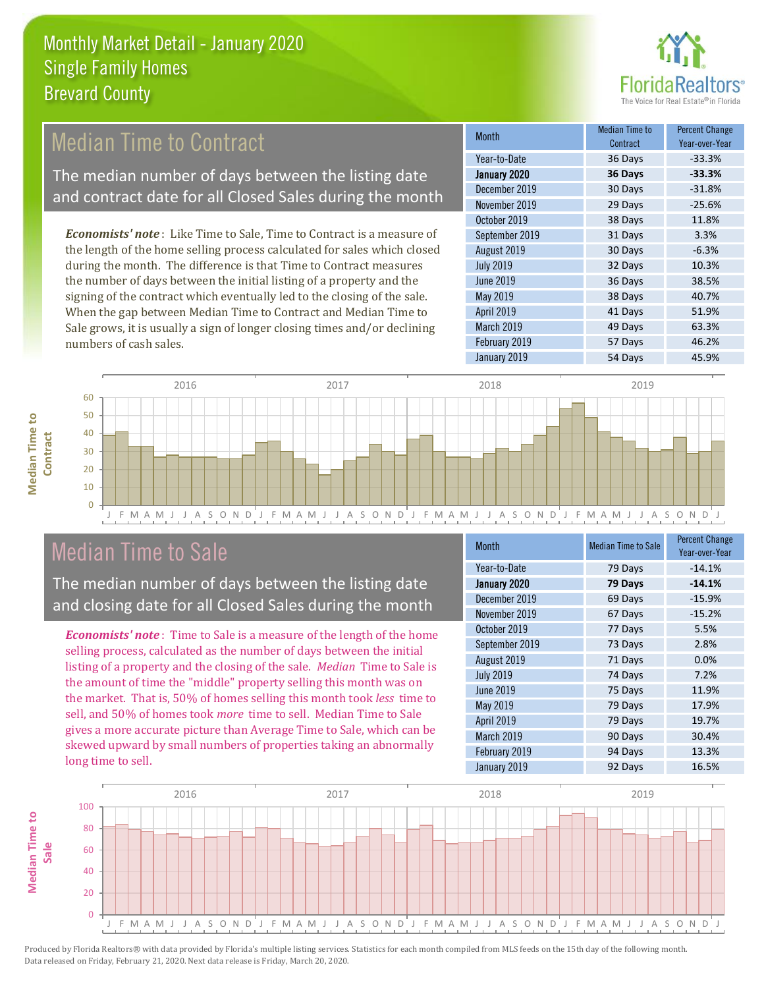

# Median Time to Contract

The median number of days between the listing date and contract date for all Closed Sales during the month

*Economists' note* : Like Time to Sale, Time to Contract is a measure of the length of the home selling process calculated for sales which closed during the month. The difference is that Time to Contract measures the number of days between the initial listing of a property and the signing of the contract which eventually led to the closing of the sale. When the gap between Median Time to Contract and Median Time to Sale grows, it is usually a sign of longer closing times and/or declining numbers of cash sales.

| <b>Month</b>     | Median Time to<br>Contract | <b>Percent Change</b><br>Year-over-Year |
|------------------|----------------------------|-----------------------------------------|
| Year-to-Date     | 36 Days                    | $-33.3%$                                |
| January 2020     | 36 Days                    | $-33.3%$                                |
| December 2019    | 30 Days                    | $-31.8%$                                |
| November 2019    | 29 Days                    | $-25.6%$                                |
| October 2019     | 38 Days                    | 11.8%                                   |
| September 2019   | 31 Days                    | 3.3%                                    |
| August 2019      | 30 Days                    | $-6.3%$                                 |
| <b>July 2019</b> | 32 Days                    | 10.3%                                   |
| <b>June 2019</b> | 36 Days                    | 38.5%                                   |
| <b>May 2019</b>  | 38 Days                    | 40.7%                                   |
| April 2019       | 41 Days                    | 51.9%                                   |
| March 2019       | 49 Days                    | 63.3%                                   |
| February 2019    | 57 Days                    | 46.2%                                   |
| January 2019     | 54 Days                    | 45.9%                                   |



### Median Time to Sale

The median number of days between the listing date and closing date for all Closed Sales during the month

*Economists' note* : Time to Sale is a measure of the length of the home selling process, calculated as the number of days between the initial listing of a property and the closing of the sale. *Median* Time to Sale is the amount of time the "middle" property selling this month was on the market. That is, 50% of homes selling this month took *less* time to sell, and 50% of homes took *more* time to sell. Median Time to Sale gives a more accurate picture than Average Time to Sale, which can be skewed upward by small numbers of properties taking an abnormally long time to sell.

| <b>Month</b>     | <b>Median Time to Sale</b> | <b>Percent Change</b><br>Year-over-Year |
|------------------|----------------------------|-----------------------------------------|
| Year-to-Date     | 79 Days                    | $-14.1%$                                |
| January 2020     | 79 Days                    | $-14.1%$                                |
| December 2019    | 69 Days                    | $-15.9%$                                |
| November 2019    | 67 Days                    | $-15.2%$                                |
| October 2019     | 77 Days                    | 5.5%                                    |
| September 2019   | 73 Days                    | 2.8%                                    |
| August 2019      | 71 Days                    | 0.0%                                    |
| <b>July 2019</b> | 74 Days                    | 7.2%                                    |
| <b>June 2019</b> | 75 Days                    | 11.9%                                   |
| May 2019         | 79 Days                    | 17.9%                                   |
| April 2019       | 79 Days                    | 19.7%                                   |
| March 2019       | 90 Days                    | 30.4%                                   |
| February 2019    | 94 Days                    | 13.3%                                   |
| January 2019     | 92 Days                    | 16.5%                                   |

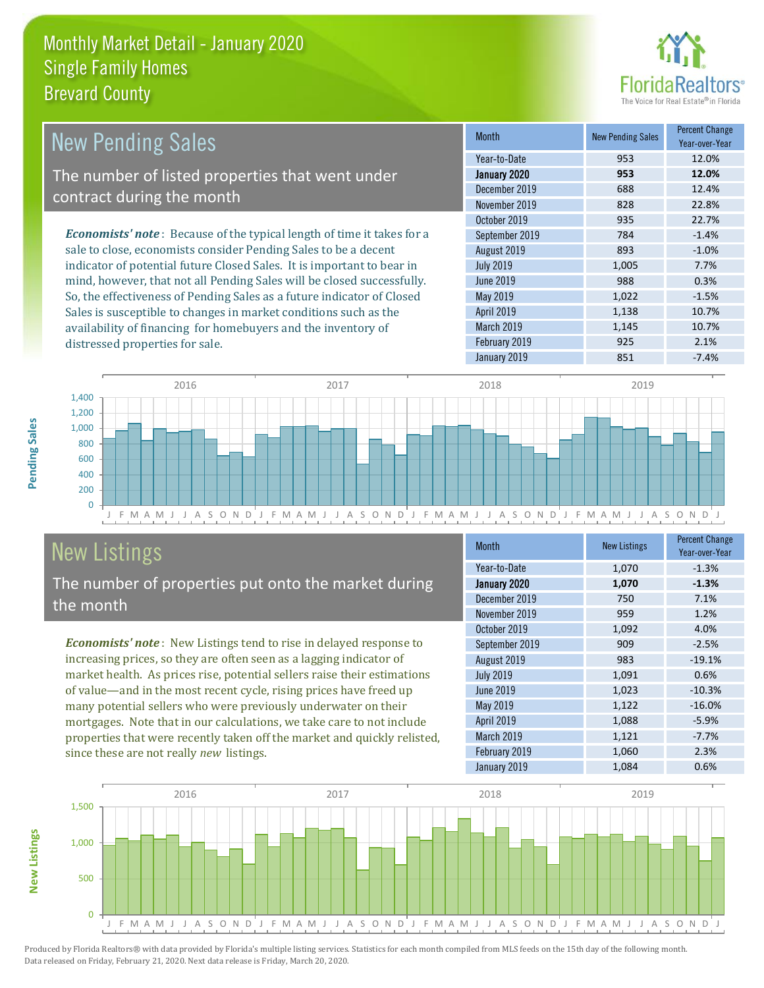

| New Pending Sales                                                              | <b>Month</b>      | <b>New Pending Sales</b> | <b>Percent Change</b><br>Year-over-Year |
|--------------------------------------------------------------------------------|-------------------|--------------------------|-----------------------------------------|
|                                                                                | Year-to-Date      | 953                      | 12.0%                                   |
| The number of listed properties that went under                                | January 2020      | 953                      | 12.0%                                   |
| contract during the month                                                      | December 2019     | 688                      | 12.4%                                   |
|                                                                                | November 2019     | 828                      | 22.8%                                   |
|                                                                                | October 2019      | 935                      | 22.7%                                   |
| <b>Economists' note</b> : Because of the typical length of time it takes for a | September 2019    | 784                      | $-1.4%$                                 |
| sale to close, economists consider Pending Sales to be a decent                | August 2019       | 893                      | $-1.0%$                                 |
| indicator of potential future Closed Sales. It is important to bear in         | <b>July 2019</b>  | 1,005                    | 7.7%                                    |
| mind, however, that not all Pending Sales will be closed successfully.         | June 2019         | 988                      | 0.3%                                    |
| So, the effectiveness of Pending Sales as a future indicator of Closed         | May 2019          | 1,022                    | $-1.5%$                                 |
| Sales is susceptible to changes in market conditions such as the               | <b>April 2019</b> | 1,138                    | 10.7%                                   |



# New Listings

distressed properties for sale.

The number of properties put onto the market during the month

availability of financing for homebuyers and the inventory of

*Economists' note* : New Listings tend to rise in delayed response to increasing prices, so they are often seen as a lagging indicator of market health. As prices rise, potential sellers raise their estimations of value—and in the most recent cycle, rising prices have freed up many potential sellers who were previously underwater on their mortgages. Note that in our calculations, we take care to not include properties that were recently taken off the market and quickly relisted, since these are not really *new* listings.

| <b>Month</b>     | <b>New Listings</b> | <b>Percent Change</b><br>Year-over-Year |
|------------------|---------------------|-----------------------------------------|
| Year-to-Date     | 1,070               | $-1.3%$                                 |
| January 2020     | 1,070               | $-1.3%$                                 |
| December 2019    | 750                 | 7.1%                                    |
| November 2019    | 959                 | 1.2%                                    |
| October 2019     | 1,092               | 4.0%                                    |
| September 2019   | 909                 | $-2.5%$                                 |
| August 2019      | 983                 | $-19.1%$                                |
| <b>July 2019</b> | 1,091               | 0.6%                                    |
| <b>June 2019</b> | 1,023               | $-10.3%$                                |
| May 2019         | 1,122               | $-16.0%$                                |
| April 2019       | 1,088               | $-5.9%$                                 |
| March 2019       | 1,121               | $-7.7%$                                 |
| February 2019    | 1,060               | 2.3%                                    |
| January 2019     | 1,084               | 0.6%                                    |

January 2019 **851** -7.4%

March 2019 1,145 10.7% February 2019 **925 2.1%** 



**Pending Sales**

Pending Sales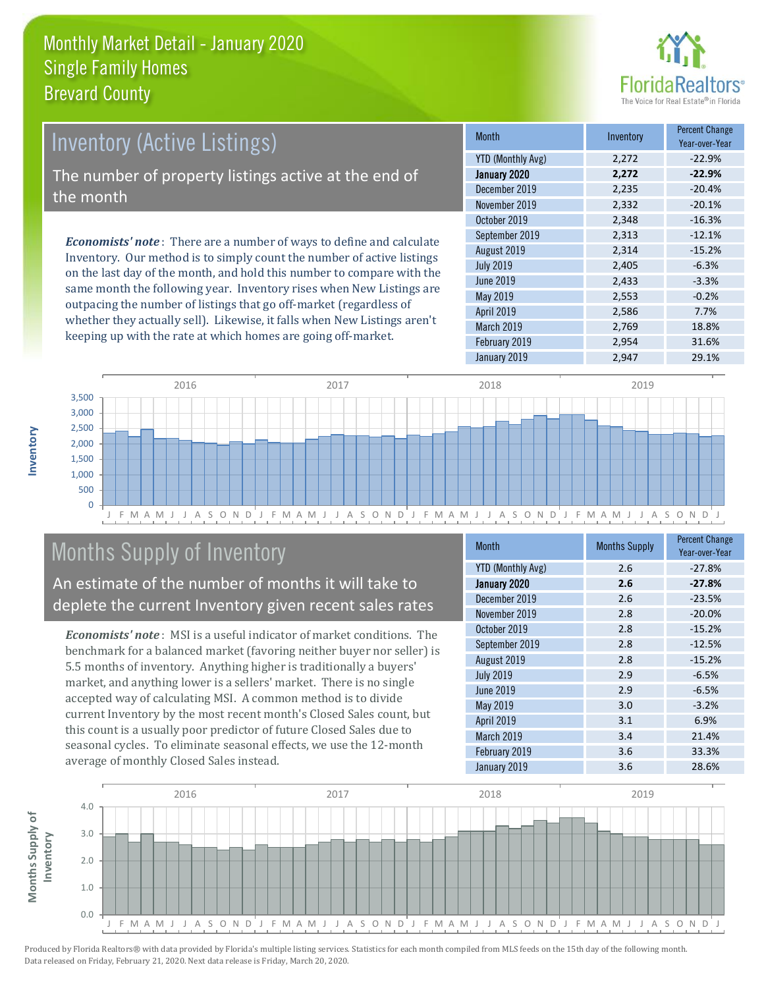

# *Economists' note* : There are a number of ways to define and calculate Inventory (Active Listings) The number of property listings active at the end of the month

Inventory. Our method is to simply count the number of active listings on the last day of the month, and hold this number to compare with the same month the following year. Inventory rises when New Listings are outpacing the number of listings that go off-market (regardless of whether they actually sell). Likewise, it falls when New Listings aren't keeping up with the rate at which homes are going off-market.

| <b>Month</b>      | Inventory | <b>Percent Change</b><br>Year-over-Year |
|-------------------|-----------|-----------------------------------------|
| YTD (Monthly Avg) | 2,272     | $-22.9%$                                |
| January 2020      | 2,272     | $-22.9%$                                |
| December 2019     | 2,235     | $-20.4%$                                |
| November 2019     | 2,332     | $-20.1%$                                |
| October 2019      | 2,348     | $-16.3%$                                |
| September 2019    | 2,313     | $-12.1%$                                |
| August 2019       | 2,314     | $-15.2%$                                |
| <b>July 2019</b>  | 2,405     | $-6.3%$                                 |
| <b>June 2019</b>  | 2,433     | $-3.3%$                                 |
| May 2019          | 2,553     | $-0.2%$                                 |
| April 2019        | 2,586     | 7.7%                                    |
| March 2019        | 2,769     | 18.8%                                   |
| February 2019     | 2,954     | 31.6%                                   |
| January 2019      | 2,947     | 29.1%                                   |



# Months Supply of Inventory

An estimate of the number of months it will take to deplete the current Inventory given recent sales rates

*Economists' note* : MSI is a useful indicator of market conditions. The benchmark for a balanced market (favoring neither buyer nor seller) is 5.5 months of inventory. Anything higher is traditionally a buyers' market, and anything lower is a sellers' market. There is no single accepted way of calculating MSI. A common method is to divide current Inventory by the most recent month's Closed Sales count, but this count is a usually poor predictor of future Closed Sales due to seasonal cycles. To eliminate seasonal effects, we use the 12-month average of monthly Closed Sales instead.

| Month                    | <b>Months Supply</b> | <b>Percent Change</b><br>Year-over-Year |
|--------------------------|----------------------|-----------------------------------------|
| <b>YTD (Monthly Avg)</b> | 2.6                  | $-27.8%$                                |
| January 2020             | 2.6                  | $-27.8%$                                |
| December 2019            | 2.6                  | $-23.5%$                                |
| November 2019            | 2.8                  | $-20.0%$                                |
| October 2019             | 2.8                  | $-15.2%$                                |
| September 2019           | 2.8                  | $-12.5%$                                |
| August 2019              | 2.8                  | $-15.2%$                                |
| <b>July 2019</b>         | 2.9                  | $-6.5%$                                 |
| <b>June 2019</b>         | 2.9                  | $-6.5%$                                 |
| May 2019                 | 3.0                  | $-3.2%$                                 |
| April 2019               | 3.1                  | 6.9%                                    |
| March 2019               | 3.4                  | 21.4%                                   |
| February 2019            | 3.6                  | 33.3%                                   |
| January 2019             | 3.6                  | 28.6%                                   |

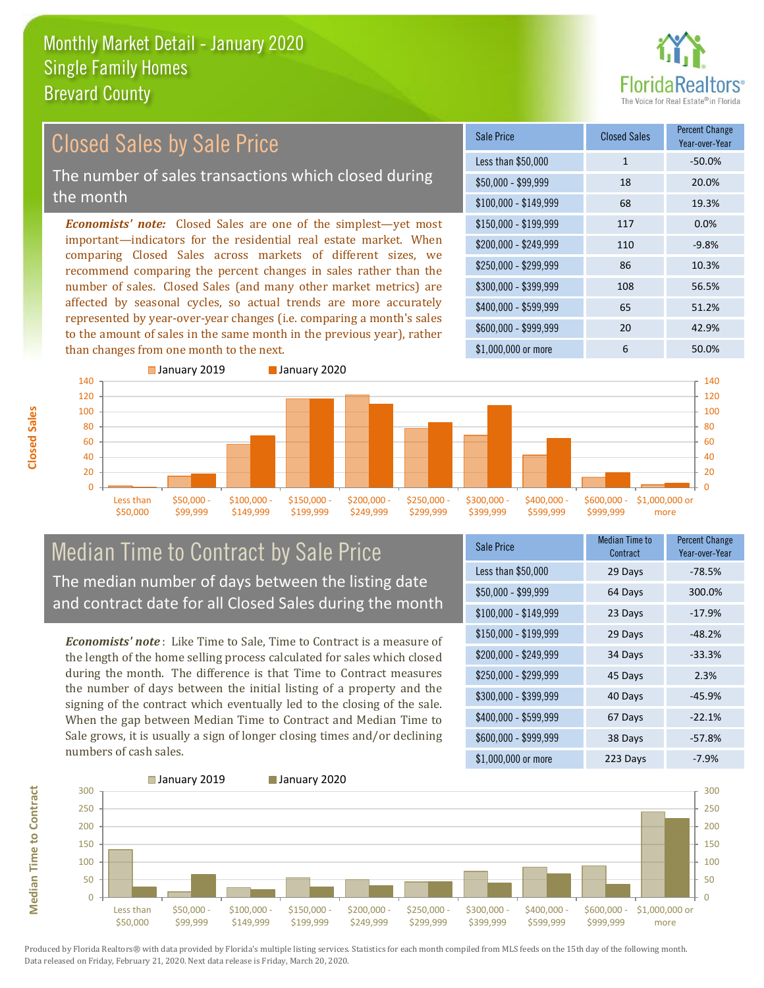

#### \$100,000 - \$149,999 68 19.3% Sale Price Closed Sales Percent Change Year-over-Year Less than \$50,000 1 1 -50.0% \$50,000 - \$99,999 18 20.0% \$150,000 - \$199,999 117 0.0% \$200,000 - \$249,999 110 -9.8% \$400,000 - \$599,999 65 51.2% \$600,000 - \$999,999 20 42.9% *Economists' note:* Closed Sales are one of the simplest—yet most important—indicators for the residential real estate market. When comparing Closed Sales across markets of different sizes, we recommend comparing the percent changes in sales rather than the number of sales. Closed Sales (and many other market metrics) are affected by seasonal cycles, so actual trends are more accurately represented by year-over-year changes (i.e. comparing a month's sales to the amount of sales in the same month in the previous year), rather than changes from one month to the next. \$1,000,000 or more 6 6 50.0% \$250,000 - \$299,999 86 10.3% \$300,000 - \$399,999 108 56.5% Closed Sales by Sale Price The number of sales transactions which closed during the month



### Median Time to Contract by Sale Price The median number of days between the listing date and contract date for all Closed Sales during the month

*Economists' note* : Like Time to Sale, Time to Contract is a measure of the length of the home selling process calculated for sales which closed during the month. The difference is that Time to Contract measures the number of days between the initial listing of a property and the signing of the contract which eventually led to the closing of the sale. When the gap between Median Time to Contract and Median Time to Sale grows, it is usually a sign of longer closing times and/or declining numbers of cash sales.

| Sale Price            | <b>Median Time to</b><br>Contract | <b>Percent Change</b><br>Year-over-Year |
|-----------------------|-----------------------------------|-----------------------------------------|
| Less than \$50,000    | 29 Days                           | $-78.5%$                                |
| $$50,000 - $99,999$   | 64 Days                           | 300.0%                                  |
| $$100,000 - $149,999$ | 23 Days                           | $-17.9%$                                |
| \$150,000 - \$199,999 | 29 Days                           | $-48.2%$                                |
| \$200,000 - \$249,999 | 34 Days                           | $-33.3%$                                |
| \$250,000 - \$299,999 | 45 Days                           | 2.3%                                    |
| \$300,000 - \$399,999 | 40 Days                           | $-45.9%$                                |
| \$400,000 - \$599,999 | 67 Days                           | $-22.1%$                                |
| \$600,000 - \$999,999 | 38 Days                           | $-57.8%$                                |
| \$1,000,000 or more   | 223 Days                          | $-7.9%$                                 |



**Closed Sales**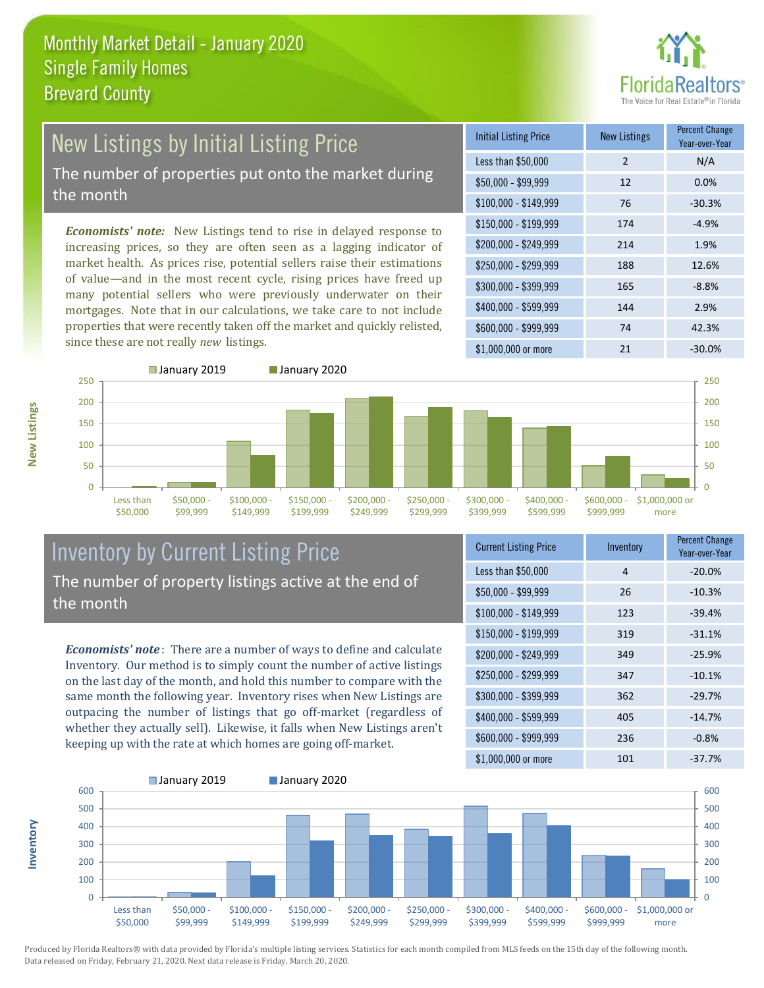

# New Listings by Initial Listing Price The number of properties put onto the market during

the month

*Economists' note:* New Listings tend to rise in delayed response to increasing prices, so they are often seen as a lagging indicator of market health. As prices rise, potential sellers raise their estimations of value—and in the most recent cycle, rising prices have freed up many potential sellers who were previously underwater on their mortgages. Note that in our calculations, we take care to not include properties that were recently taken off the market and quickly relisted, since these are not really *new* listings.

| <b>Initial Listing Price</b> | <b>New Listings</b> | <b>Percent Change</b><br>Year-over-Year |
|------------------------------|---------------------|-----------------------------------------|
| Less than \$50,000           | $\mathcal{P}$       | N/A                                     |
| $$50,000 - $99,999$          | 12                  | 0.0%                                    |
| $$100,000 - $149,999$        | 76                  | $-30.3%$                                |
| $$150,000 - $199,999$        | 174                 | $-4.9%$                                 |
| \$200,000 - \$249,999        | 214                 | 1.9%                                    |
| \$250,000 - \$299,999        | 188                 | 12.6%                                   |
| \$300,000 - \$399,999        | 165                 | $-8.8%$                                 |
| \$400,000 - \$599,999        | 144                 | 2.9%                                    |
| \$600,000 - \$999,999        | 74                  | 42.3%                                   |
| \$1,000,000 or more          | 21                  | $-30.0%$                                |



#### Inventory by Current Listing Price The number of property listings active at the end of the month

*Economists' note* : There are a number of ways to define and calculate Inventory. Our method is to simply count the number of active listings on the last day of the month, and hold this number to compare with the same month the following year. Inventory rises when New Listings are outpacing the number of listings that go off-market (regardless of whether they actually sell). Likewise, it falls when New Listings aren't keeping up with the rate at which homes are going off-market.

| <b>Current Listing Price</b> | Inventory | <b>Percent Change</b><br>Year-over-Year |
|------------------------------|-----------|-----------------------------------------|
| Less than \$50,000           | 4         | $-20.0%$                                |
| $$50,000 - $99,999$          | 26        | $-10.3%$                                |
| $$100,000 - $149,999$        | 123       | $-39.4%$                                |
| $$150,000 - $199,999$        | 319       | $-31.1%$                                |
| \$200,000 - \$249,999        | 349       | $-25.9%$                                |
| \$250,000 - \$299,999        | 347       | $-10.1%$                                |
| \$300,000 - \$399,999        | 362       | $-29.7%$                                |
| $$400,000 - $599,999$        | 405       | $-14.7%$                                |
| \$600,000 - \$999,999        | 236       | $-0.8%$                                 |
| \$1,000,000 or more          | 101       | $-37.7%$                                |



Produced by Florida Realtors® with data provided by Florida's multiple listing services. Statistics for each month compiled from MLS feeds on the 15th day of the following month. Data released on Friday, February 21, 2020. Next data release is Friday, March 20, 2020.

**Inventory**